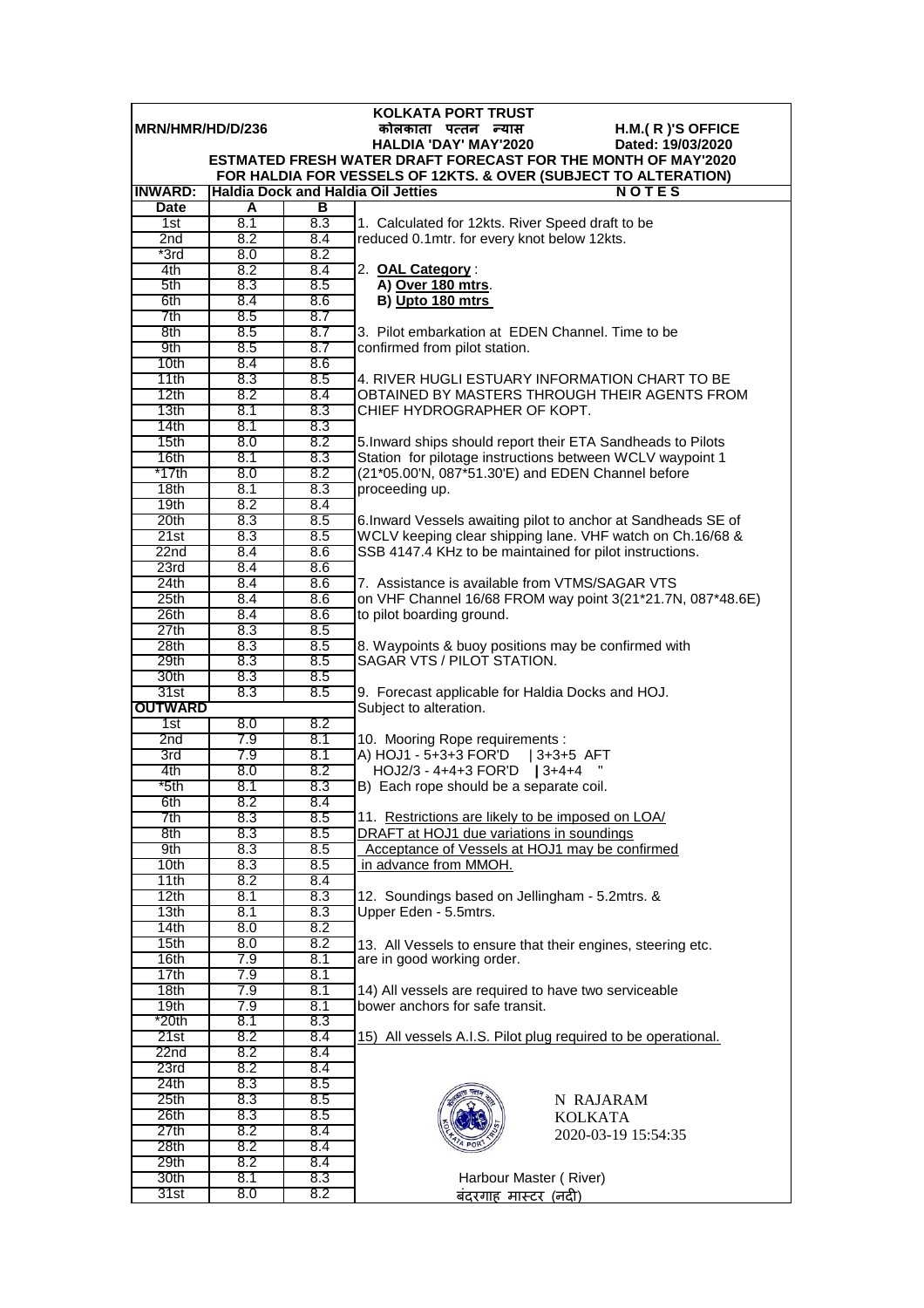| <b>KOLKATA PORT TRUST</b> |            |            |                                                                                                                                         |  |  |
|---------------------------|------------|------------|-----------------------------------------------------------------------------------------------------------------------------------------|--|--|
| MRN/HMR/HD/D/236          |            |            | कोलकाता पत्तन न्यास<br>H.M.(R)'S OFFICE                                                                                                 |  |  |
|                           |            |            | <b>HALDIA 'DAY' MAY'2020</b><br>Dated: 19/03/2020                                                                                       |  |  |
|                           |            |            | <b>ESTMATED FRESH WATER DRAFT FORECAST FOR THE MONTH OF MAY'2020</b><br>FOR HALDIA FOR VESSELS OF 12KTS. & OVER (SUBJECT TO ALTERATION) |  |  |
| <b>INWARD:</b>            |            |            | <b>Haldia Dock and Haldia Oil Jetties</b><br>NOTES                                                                                      |  |  |
| <b>Date</b>               | A          | в          |                                                                                                                                         |  |  |
| 1st                       | 8.1        | 8.3        | 1. Calculated for 12kts. River Speed draft to be                                                                                        |  |  |
| 2nd                       | 8.2        | 8.4        | reduced 0.1mtr. for every knot below 12kts.                                                                                             |  |  |
| $*3rd$                    | 8.0        | 8.2        |                                                                                                                                         |  |  |
| 4th                       | 8.2        | 8.4        | 2. OAL Category:                                                                                                                        |  |  |
| 5th                       | 8.3        | 8.5        | A) Over 180 mtrs.                                                                                                                       |  |  |
| 6th                       | 8.4        | 8.6        | B) Upto 180 mtrs                                                                                                                        |  |  |
| 7th                       | 8.5        | 8.7        |                                                                                                                                         |  |  |
| 8th                       | 8.5        | 8.7        | 3. Pilot embarkation at EDEN Channel. Time to be                                                                                        |  |  |
| 9th<br>10th               | 8.5<br>8.4 | 8.7<br>8.6 | confirmed from pilot station.                                                                                                           |  |  |
| 11th                      | 8.3        | 8.5        | 4. RIVER HUGLI ESTUARY INFORMATION CHART TO BE                                                                                          |  |  |
| 12th                      | 8.2        | 8.4        | OBTAINED BY MASTERS THROUGH THEIR AGENTS FROM                                                                                           |  |  |
| 13th                      | 8.1        | 8.3        | CHIEF HYDROGRAPHER OF KOPT.                                                                                                             |  |  |
| 14th                      | 8.1        | 8.3        |                                                                                                                                         |  |  |
| 15th                      | 8.0        | 8.2        | 5. Inward ships should report their ETA Sandheads to Pilots                                                                             |  |  |
| 16th                      | 8.1        | 8.3        | Station for pilotage instructions between WCLV waypoint 1                                                                               |  |  |
| *17th                     | 8.0        | 8.2        | (21*05.00'N, 087*51.30'E) and EDEN Channel before                                                                                       |  |  |
| 18 <sub>th</sub>          | 8.1        | 8.3        | proceeding up.                                                                                                                          |  |  |
| 19th                      | 8.2        | 8.4        |                                                                                                                                         |  |  |
| 20th<br>21st              | 8.3<br>8.3 | 8.5<br>8.5 | 6. Inward Vessels awaiting pilot to anchor at Sandheads SE of                                                                           |  |  |
| 22 <sub>nd</sub>          | 8.4        | 8.6        | WCLV keeping clear shipping lane. VHF watch on Ch.16/68 &<br>SSB 4147.4 KHz to be maintained for pilot instructions.                    |  |  |
| 23rd                      | 8.4        | 8.6        |                                                                                                                                         |  |  |
| 24th                      | 8.4        | 8.6        | 7. Assistance is available from VTMS/SAGAR VTS                                                                                          |  |  |
| 25 <sub>th</sub>          | 8.4        | 8.6        | on VHF Channel 16/68 FROM way point 3(21*21.7N, 087*48.6E)                                                                              |  |  |
| 26th                      | 8.4        | 8.6        | to pilot boarding ground.                                                                                                               |  |  |
| 27th                      | 8.3        | 8.5        |                                                                                                                                         |  |  |
| 28 <sub>th</sub>          | 8.3        | 8.5        | 8. Waypoints & buoy positions may be confirmed with                                                                                     |  |  |
| 29th                      | 8.3        | 8.5        | SAGAR VTS / PILOT STATION.                                                                                                              |  |  |
| 30th                      | 8.3        | 8.5        |                                                                                                                                         |  |  |
| 31st<br><b>OUTWARD</b>    | 8.3        | 8.5        | 9. Forecast applicable for Haldia Docks and HOJ.<br>Subject to alteration.                                                              |  |  |
| 1st                       | 8.0        | 8.2        |                                                                                                                                         |  |  |
| 2 <sub>nd</sub>           | 7.9        | 8.1        | 10. Mooring Rope requirements :                                                                                                         |  |  |
| 3rd                       | 7.9        | 8.1        | A) HOJ1 - 5+3+3 FOR'D   3+3+5 AFT                                                                                                       |  |  |
| 4th                       | 8.0        | 8.2        | HOJ2/3 - 4+4+3 FOR'D   3+4+4                                                                                                            |  |  |
| *5th                      | 8.1        | 8.3        | B) Each rope should be a separate coil.                                                                                                 |  |  |
| 6th                       | 8.2        | 8.4        |                                                                                                                                         |  |  |
| 7th                       | 8.3        | 8.5        | 11. Restrictions are likely to be imposed on LOA/                                                                                       |  |  |
| 8th                       | 8.3        | 8.5        | DRAFT at HOJ1 due variations in soundings                                                                                               |  |  |
| 9th<br>10th               | 8.3<br>8.3 | 8.5<br>8.5 | Acceptance of Vessels at HOJ1 may be confirmed<br>in advance from MMOH.                                                                 |  |  |
| 11th                      | 8.2        | 8.4        |                                                                                                                                         |  |  |
| 12th                      | 8.1        | 8.3        | 12. Soundings based on Jellingham - 5.2mtrs. &                                                                                          |  |  |
| 13th                      | 8.1        | 8.3        | Upper Eden - 5.5mtrs.                                                                                                                   |  |  |
| 14th                      | 8.0        | 8.2        |                                                                                                                                         |  |  |
| 15th                      | 8.0        | 8.2        | 13. All Vessels to ensure that their engines, steering etc.                                                                             |  |  |
| 16th                      | 7.9        | 8.1        | are in good working order.                                                                                                              |  |  |
| 17th                      | 7.9        | 8.1        |                                                                                                                                         |  |  |
| 18th                      | 7.9        | 8.1        | 14) All vessels are required to have two serviceable                                                                                    |  |  |
| 19th<br>*20th             | 7.9<br>8.1 | 8.1<br>8.3 | bower anchors for safe transit.                                                                                                         |  |  |
| 21st                      | 8.2        | 8.4        | 15) All vessels A.I.S. Pilot plug required to be operational.                                                                           |  |  |
| 22n <sub>d</sub>          | 8.2        | 8.4        |                                                                                                                                         |  |  |
| 23rd                      | 8.2        | 8.4        |                                                                                                                                         |  |  |
| 24th                      | 8.3        | 8.5        |                                                                                                                                         |  |  |
| 25 <sub>th</sub>          | 8.3        | 8.5        | N RAJARAM                                                                                                                               |  |  |
| 26th                      | 8.3        | 8.5        | KOLKATA                                                                                                                                 |  |  |
| 27th                      | 8.2        | 8.4        | 2020-03-19 15:54:35                                                                                                                     |  |  |
| 28 <sub>th</sub>          | 8.2        | 8.4        |                                                                                                                                         |  |  |
| 29th                      | 8.2        | 8.4        |                                                                                                                                         |  |  |
| 30th                      | 8.1        | 8.3<br>8.2 | Harbour Master (River)                                                                                                                  |  |  |
| 31st                      | 8.0        |            | <u>बंदरगाह मास्टर (नदी)</u>                                                                                                             |  |  |